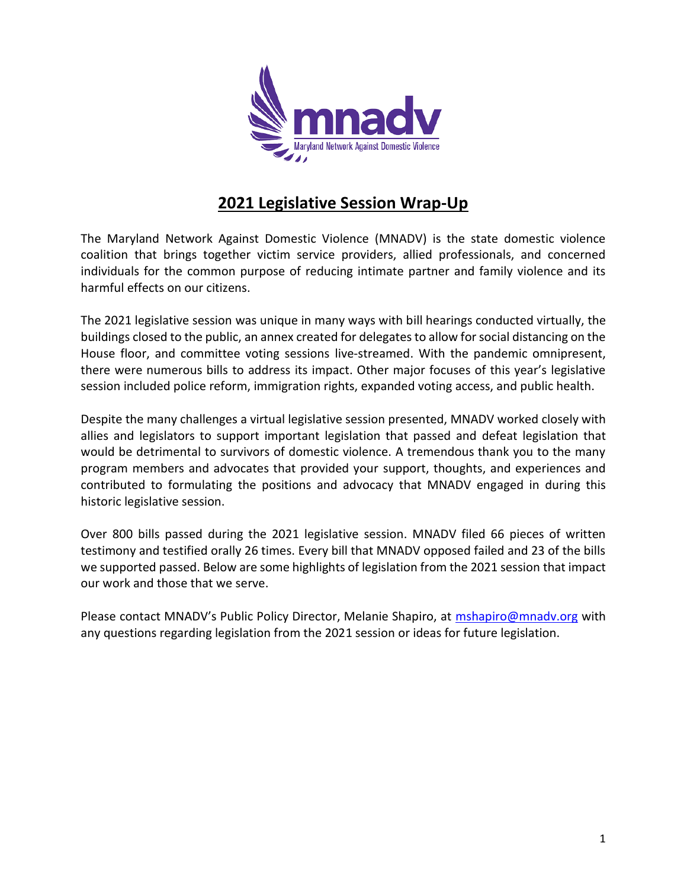

# **2021 Legislative Session Wrap-Up**

The Maryland Network Against Domestic Violence (MNADV) is the state domestic violence coalition that brings together victim service providers, allied professionals, and concerned individuals for the common purpose of reducing intimate partner and family violence and its harmful effects on our citizens.

The 2021 legislative session was unique in many ways with bill hearings conducted virtually, the buildings closed to the public, an annex created for delegates to allow for social distancing on the House floor, and committee voting sessions live-streamed. With the pandemic omnipresent, there were numerous bills to address its impact. Other major focuses of this year's legislative session included police reform, immigration rights, expanded voting access, and public health.

Despite the many challenges a virtual legislative session presented, MNADV worked closely with allies and legislators to support important legislation that passed and defeat legislation that would be detrimental to survivors of domestic violence. A tremendous thank you to the many program members and advocates that provided your support, thoughts, and experiences and contributed to formulating the positions and advocacy that MNADV engaged in during this historic legislative session.

Over 800 bills passed during the 2021 legislative session. MNADV filed 66 pieces of written testimony and testified orally 26 times. Every bill that MNADV opposed failed and 23 of the bills we supported passed. Below are some highlights of legislation from the 2021 session that impact our work and those that we serve.

Please contact MNADV's Public Policy Director, Melanie Shapiro, at [mshapiro@mnadv.org](mailto:mshapiro@mnadv.org) with any questions regarding legislation from the 2021 session or ideas for future legislation.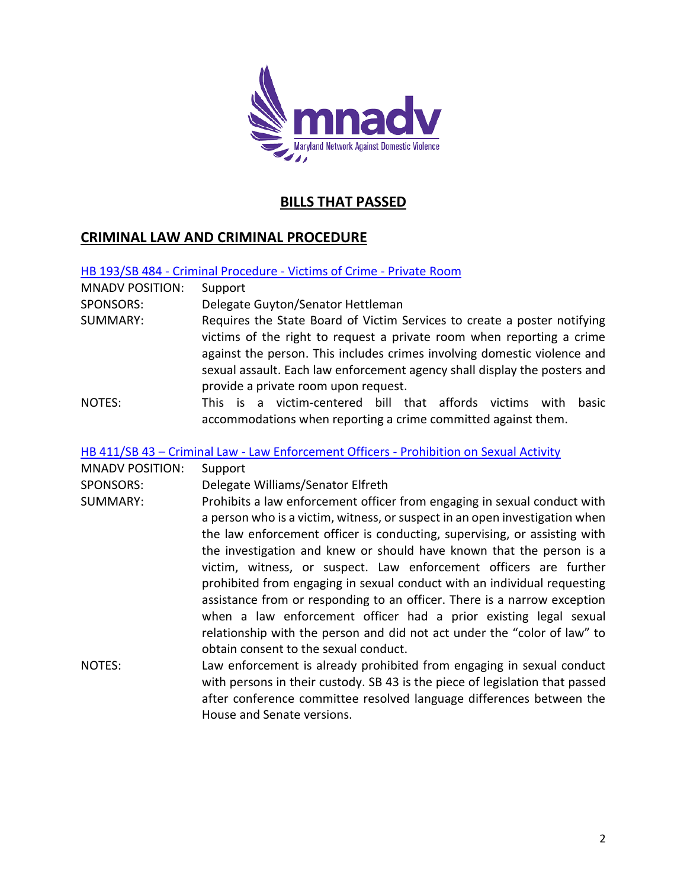

# **BILLS THAT PASSED**

## **CRIMINAL LAW AND CRIMINAL PROCEDURE**

HB 193/SB 484 - [Criminal Procedure -](https://mgaleg.maryland.gov/mgawebsite/Legislation/Details/HB0193) Victims of Crime - Private Room

| <b>MNADV POSITION:</b> | Support                                                                   |
|------------------------|---------------------------------------------------------------------------|
| SPONSORS:              | Delegate Guyton/Senator Hettleman                                         |
| SUMMARY:               | Requires the State Board of Victim Services to create a poster notifying  |
|                        | victims of the right to request a private room when reporting a crime     |
|                        | against the person. This includes crimes involving domestic violence and  |
|                        | sexual assault. Each law enforcement agency shall display the posters and |
|                        | provide a private room upon request.                                      |
| NOTES:                 | This is a victim-centered bill that affords victims<br>with<br>basic      |
|                        | accommodations when reporting a crime committed against them.             |

HB 411/SB 43 – Criminal Law - Law Enforcement Officers - [Prohibition on Sexual Activity](https://mgaleg.maryland.gov/mgawebsite/Legislation/Details/SB0043?ys=2021RS)

| <b>MNADV POSITION:</b> | Support                                                                                                                                                                                                                                                                                                                                                                                                                                                                                                                                                                                                                                                                                   |
|------------------------|-------------------------------------------------------------------------------------------------------------------------------------------------------------------------------------------------------------------------------------------------------------------------------------------------------------------------------------------------------------------------------------------------------------------------------------------------------------------------------------------------------------------------------------------------------------------------------------------------------------------------------------------------------------------------------------------|
| <b>SPONSORS:</b>       | Delegate Williams/Senator Elfreth                                                                                                                                                                                                                                                                                                                                                                                                                                                                                                                                                                                                                                                         |
| SUMMARY:               | Prohibits a law enforcement officer from engaging in sexual conduct with<br>a person who is a victim, witness, or suspect in an open investigation when<br>the law enforcement officer is conducting, supervising, or assisting with<br>the investigation and knew or should have known that the person is a<br>victim, witness, or suspect. Law enforcement officers are further<br>prohibited from engaging in sexual conduct with an individual requesting<br>assistance from or responding to an officer. There is a narrow exception<br>when a law enforcement officer had a prior existing legal sexual<br>relationship with the person and did not act under the "color of law" to |
| NOTES:                 | obtain consent to the sexual conduct.<br>Law enforcement is already prohibited from engaging in sexual conduct<br>with persons in their custody. SB 43 is the piece of legislation that passed<br>after conference committee resolved language differences between the<br>House and Senate versions.                                                                                                                                                                                                                                                                                                                                                                                      |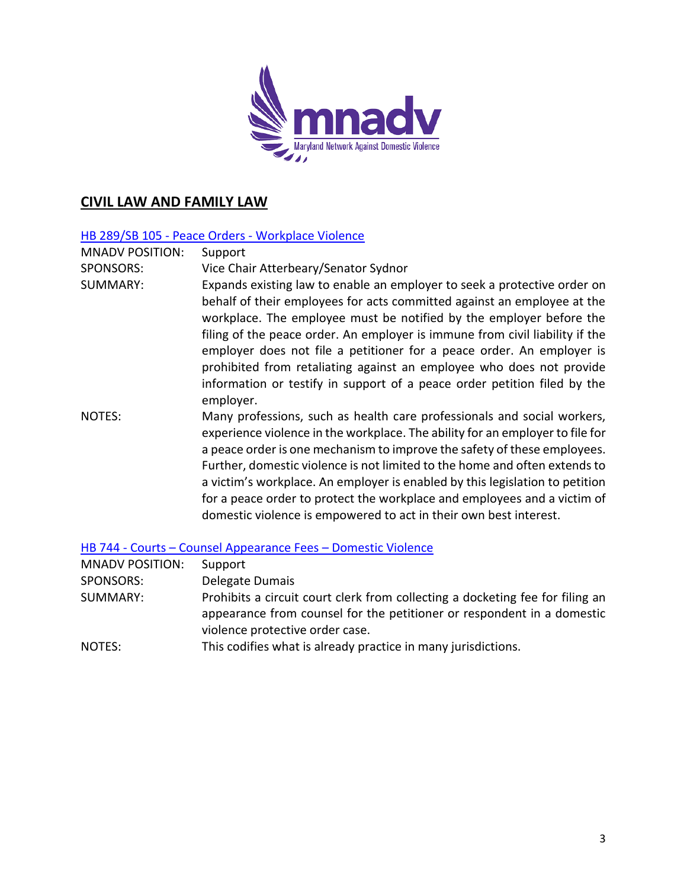

## **CIVIL LAW AND FAMILY LAW**

#### HB 289/SB 105 - Peace Orders - [Workplace Violence](https://mgaleg.maryland.gov/mgawebsite/Legislation/Details/hb0289)

MNADV POSITION: Support SPONSORS: Vice Chair Atterbeary/Senator Sydnor SUMMARY: Expands existing law to enable an employer to seek a protective order on behalf of their employees for acts committed against an employee at the workplace. The employee must be notified by the employer before the filing of the peace order. An employer is immune from civil liability if the employer does not file a petitioner for a peace order. An employer is prohibited from retaliating against an employee who does not provide information or testify in support of a peace order petition filed by the employer. NOTES: Many professions, such as health care professionals and social workers, experience violence in the workplace. The ability for an employer to file for a peace order is one mechanism to improve the safety of these employees. Further, domestic violence is not limited to the home and often extends to a victim's workplace. An employer is enabled by this legislation to petition for a peace order to protect the workplace and employees and a victim of domestic violence is empowered to act in their own best interest.

HB 744 - Courts – [Counsel Appearance Fees](https://mgaleg.maryland.gov/mgawebsite/Legislation/Details/hb0744) – Domestic Violence

| <b>MNADV POSITION:</b> | Support                                                                                                                                                                                    |
|------------------------|--------------------------------------------------------------------------------------------------------------------------------------------------------------------------------------------|
| SPONSORS:              | Delegate Dumais                                                                                                                                                                            |
| SUMMARY:               | Prohibits a circuit court clerk from collecting a docketing fee for filing an<br>appearance from counsel for the petitioner or respondent in a domestic<br>violence protective order case. |
| NOTES:                 | This codifies what is already practice in many jurisdictions.                                                                                                                              |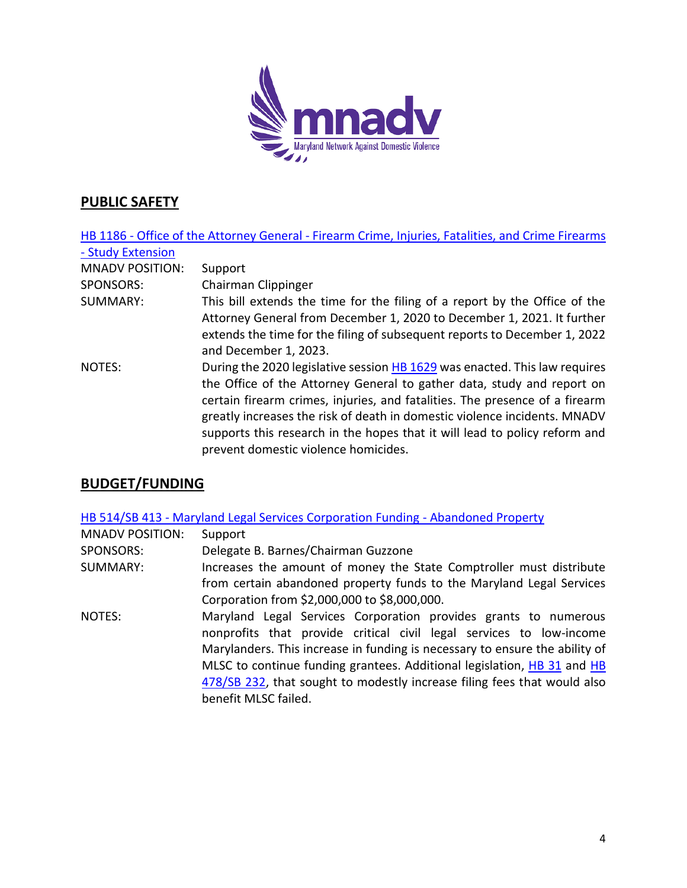

# **PUBLIC SAFETY**

|                        | HB 1186 - Office of the Attorney General - Firearm Crime, Injuries, Fatalities, and Crime Firearms |
|------------------------|----------------------------------------------------------------------------------------------------|
| - Study Extension      |                                                                                                    |
| <b>MNADV POSITION:</b> | Support                                                                                            |
| <b>SPONSORS:</b>       | Chairman Clippinger                                                                                |
| SUMMARY:               | This bill extends the time for the filing of a report by the Office of the                         |
|                        | Attorney General from December 1, 2020 to December 1, 2021. It further                             |
|                        | extends the time for the filing of subsequent reports to December 1, 2022                          |
|                        | and December 1, 2023.                                                                              |
| NOTES:                 | During the 2020 legislative session HB 1629 was enacted. This law requires                         |
|                        | the Office of the Attorney General to gather data, study and report on                             |
|                        | certain firearm crimes, injuries, and fatalities. The presence of a firearm                        |
|                        | greatly increases the risk of death in domestic violence incidents. MNADV                          |
|                        | supports this research in the hopes that it will lead to policy reform and                         |
|                        | prevent domestic violence homicides.                                                               |

# **BUDGET/FUNDING**

HB 514/SB 413 - [Maryland Legal Services Corporation Funding -](https://mgaleg.maryland.gov/mgawebsite/Legislation/Details/hb0514) Abandoned Property

| <b>MNADV POSITION:</b> | Support                                                                                                                                                                                                                                                                                                                                                                                              |
|------------------------|------------------------------------------------------------------------------------------------------------------------------------------------------------------------------------------------------------------------------------------------------------------------------------------------------------------------------------------------------------------------------------------------------|
| <b>SPONSORS:</b>       | Delegate B. Barnes/Chairman Guzzone                                                                                                                                                                                                                                                                                                                                                                  |
| SUMMARY:               | Increases the amount of money the State Comptroller must distribute                                                                                                                                                                                                                                                                                                                                  |
|                        | from certain abandoned property funds to the Maryland Legal Services                                                                                                                                                                                                                                                                                                                                 |
|                        | Corporation from \$2,000,000 to \$8,000,000.                                                                                                                                                                                                                                                                                                                                                         |
| NOTES:                 | Maryland Legal Services Corporation provides grants to numerous<br>nonprofits that provide critical civil legal services to low-income<br>Marylanders. This increase in funding is necessary to ensure the ability of<br>MLSC to continue funding grantees. Additional legislation, HB 31 and HB<br>478/SB 232, that sought to modestly increase filing fees that would also<br>benefit MLSC failed. |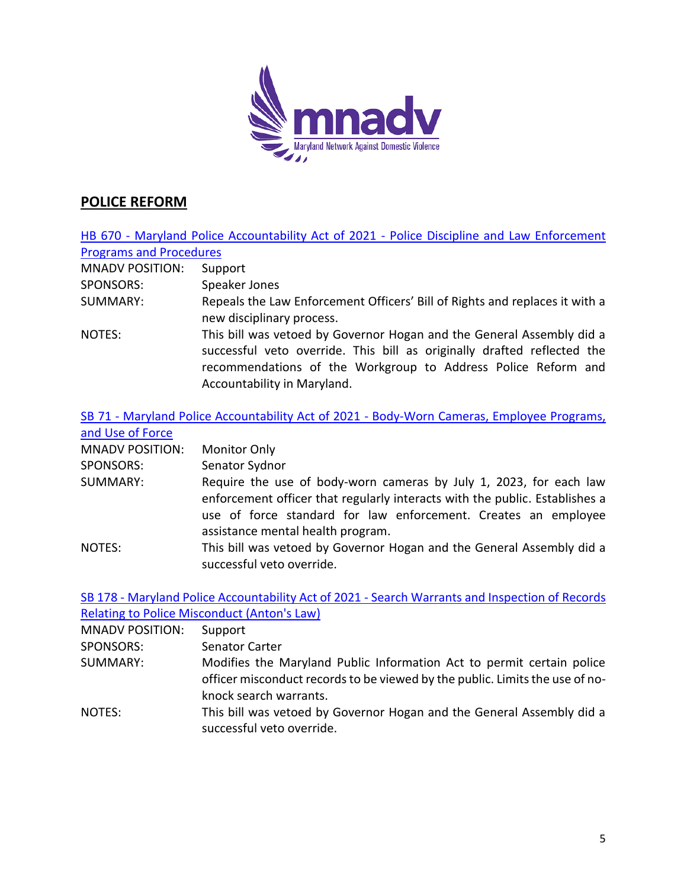

# **POLICE REFORM**

|                                | HB 670 - Maryland Police Accountability Act of 2021 - Police Discipline and Law Enforcement                                                                                                                                                              |
|--------------------------------|----------------------------------------------------------------------------------------------------------------------------------------------------------------------------------------------------------------------------------------------------------|
| <b>Programs and Procedures</b> |                                                                                                                                                                                                                                                          |
| <b>MNADV POSITION:</b>         | Support                                                                                                                                                                                                                                                  |
| SPONSORS:                      | Speaker Jones                                                                                                                                                                                                                                            |
| <b>SUMMARY:</b>                | Repeals the Law Enforcement Officers' Bill of Rights and replaces it with a<br>new disciplinary process.                                                                                                                                                 |
| NOTES:                         | This bill was vetoed by Governor Hogan and the General Assembly did a<br>successful veto override. This bill as originally drafted reflected the<br>recommendations of the Workgroup to Address Police Reform and<br>Accountability in Maryland.         |
| and Use of Force               | SB 71 - Maryland Police Accountability Act of 2021 - Body-Worn Cameras, Employee Programs,                                                                                                                                                               |
| <b>MNADV POSITION:</b>         | <b>Monitor Only</b>                                                                                                                                                                                                                                      |
| <b>SPONSORS:</b>               | Senator Sydnor                                                                                                                                                                                                                                           |
| <b>SUMMARY:</b>                | Require the use of body-worn cameras by July 1, 2023, for each law<br>enforcement officer that regularly interacts with the public. Establishes a<br>use of force standard for law enforcement. Creates an employee<br>assistance mental health program. |
| <b>NOTES:</b>                  | This bill was vetoed by Governor Hogan and the General Assembly did a<br>successful veto override.                                                                                                                                                       |

|                        | SB 178 - Maryland Police Accountability Act of 2021 - Search Warrants and Inspection of Records                                                                                 |
|------------------------|---------------------------------------------------------------------------------------------------------------------------------------------------------------------------------|
|                        | Relating to Police Misconduct (Anton's Law)                                                                                                                                     |
| <b>MNADV POSITION:</b> | Support                                                                                                                                                                         |
| SPONSORS:              | <b>Senator Carter</b>                                                                                                                                                           |
| SUMMARY:               | Modifies the Maryland Public Information Act to permit certain police<br>officer misconduct records to be viewed by the public. Limits the use of no-<br>knock search warrants. |
| NOTES:                 | This bill was vetoed by Governor Hogan and the General Assembly did a<br>successful veto override.                                                                              |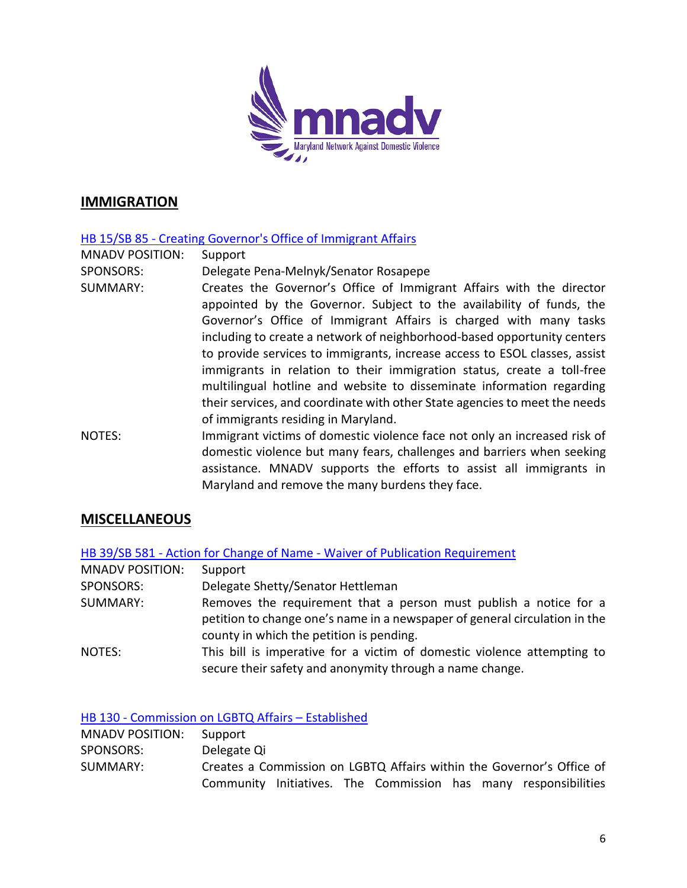

## **IMMIGRATION**

#### HB 15/SB 85 - [Creating Governor's Office of Immigrant Affairs](https://mgaleg.maryland.gov/mgawebsite/Legislation/Details/hb0015)

MNADV POSITION: Support

- SPONSORS: Delegate Pena-Melnyk/Senator Rosapepe
- SUMMARY: Creates the Governor's Office of Immigrant Affairs with the director appointed by the Governor. Subject to the availability of funds, the Governor's Office of Immigrant Affairs is charged with many tasks including to create a network of neighborhood-based opportunity centers to provide services to immigrants, increase access to ESOL classes, assist immigrants in relation to their immigration status, create a toll-free multilingual hotline and website to disseminate information regarding their services, and coordinate with other State agencies to meet the needs of immigrants residing in Maryland.

NOTES: Immigrant victims of domestic violence face not only an increased risk of domestic violence but many fears, challenges and barriers when seeking assistance. MNADV supports the efforts to assist all immigrants in Maryland and remove the many burdens they face.

## **MISCELLANEOUS**

HB 39/SB 581 - Action for Change of Name - [Waiver of Publication Requirement](https://mgaleg.maryland.gov/mgawebsite/Legislation/Details/hb0039)

| <b>MNADV POSITION:</b> | Support                                                                                                                                                                                     |
|------------------------|---------------------------------------------------------------------------------------------------------------------------------------------------------------------------------------------|
| <b>SPONSORS:</b>       | Delegate Shetty/Senator Hettleman                                                                                                                                                           |
| SUMMARY:               | Removes the requirement that a person must publish a notice for a<br>petition to change one's name in a newspaper of general circulation in the<br>county in which the petition is pending. |
| NOTES:                 | This bill is imperative for a victim of domestic violence attempting to<br>secure their safety and anonymity through a name change.                                                         |

#### HB 130 - [Commission on LGBTQ Affairs](https://mgaleg.maryland.gov/mgawebsite/Legislation/Details/hb0130) – Established

| <b>MNADV POSITION:</b> | Support                                                               |
|------------------------|-----------------------------------------------------------------------|
| SPONSORS:              | Delegate Qi                                                           |
| SUMMARY:               | Creates a Commission on LGBTQ Affairs within the Governor's Office of |
|                        | Community Initiatives. The Commission has many responsibilities       |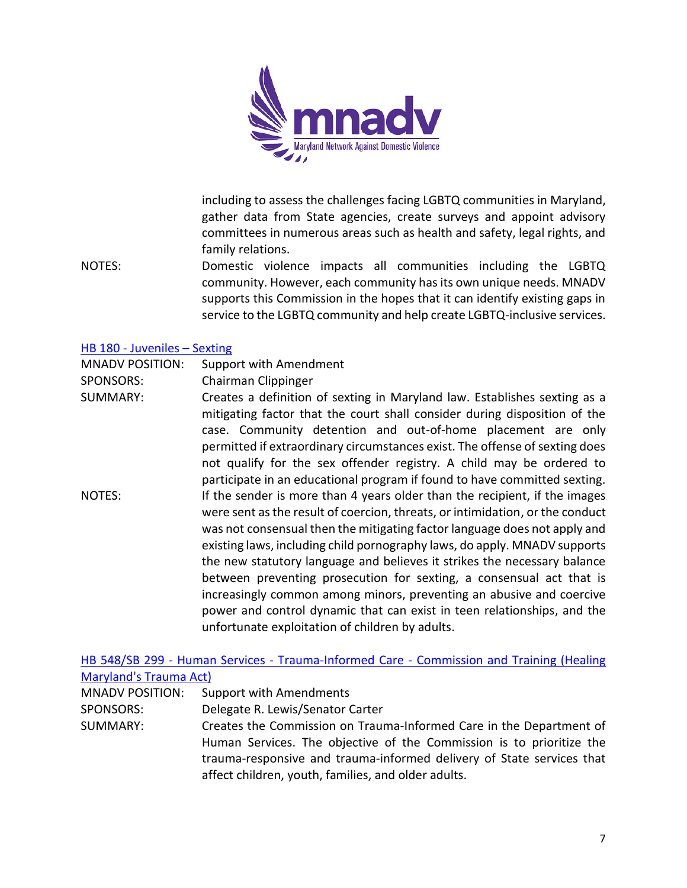

including to assess the challenges facing LGBTQ communities in Maryland, gather data from State agencies, create surveys and appoint advisory committees in numerous areas such as health and safety, legal rights, and family relations.

NOTES: Domestic violence impacts all communities including the LGBTQ community. However, each community has its own unique needs. MNADV supports this Commission in the hopes that it can identify existing gaps in service to the LGBTQ community and help create LGBTQ-inclusive services.

#### HB 180 - [Juveniles](https://mgaleg.maryland.gov/mgawebsite/Legislation/Details/hb0180) – Sexting

- MNADV POSITION: Support with Amendment
- SPONSORS: Chairman Clippinger
- SUMMARY: Creates a definition of sexting in Maryland law. Establishes sexting as a mitigating factor that the court shall consider during disposition of the case. Community detention and out-of-home placement are only permitted if extraordinary circumstances exist. The offense of sexting does not qualify for the sex offender registry. A child may be ordered to participate in an educational program if found to have committed sexting. NOTES: If the sender is more than 4 years older than the recipient, if the images were sent as the result of coercion, threats, or intimidation, or the conduct was not consensual then the mitigating factor language does not apply and existing laws, including child pornography laws, do apply. MNADV supports the new statutory language and believes it strikes the necessary balance between preventing prosecution for sexting, a consensual act that is increasingly common among minors, preventing an abusive and coercive power and control dynamic that can exist in teen relationships, and the unfortunate exploitation of children by adults.

HB 548/SB 299 - Human Services - Trauma-Informed Care - [Commission and Training \(Healing](https://mgaleg.maryland.gov/mgawebsite/Legislation/Details/hb0548)  [Maryland's Trauma Act\)](https://mgaleg.maryland.gov/mgawebsite/Legislation/Details/hb0548)

| $1.1.001$ , $1.0011$ , $0.0011$ , $0.00111$ , $0.00111$ |                                                                       |
|---------------------------------------------------------|-----------------------------------------------------------------------|
| <b>MNADV POSITION:</b>                                  | <b>Support with Amendments</b>                                        |
| SPONSORS:                                               | Delegate R. Lewis/Senator Carter                                      |
| SUMMARY:                                                | Creates the Commission on Trauma-Informed Care in the Department of   |
|                                                         | Human Services. The objective of the Commission is to prioritize the  |
|                                                         | trauma-responsive and trauma-informed delivery of State services that |
|                                                         | affect children, youth, families, and older adults.                   |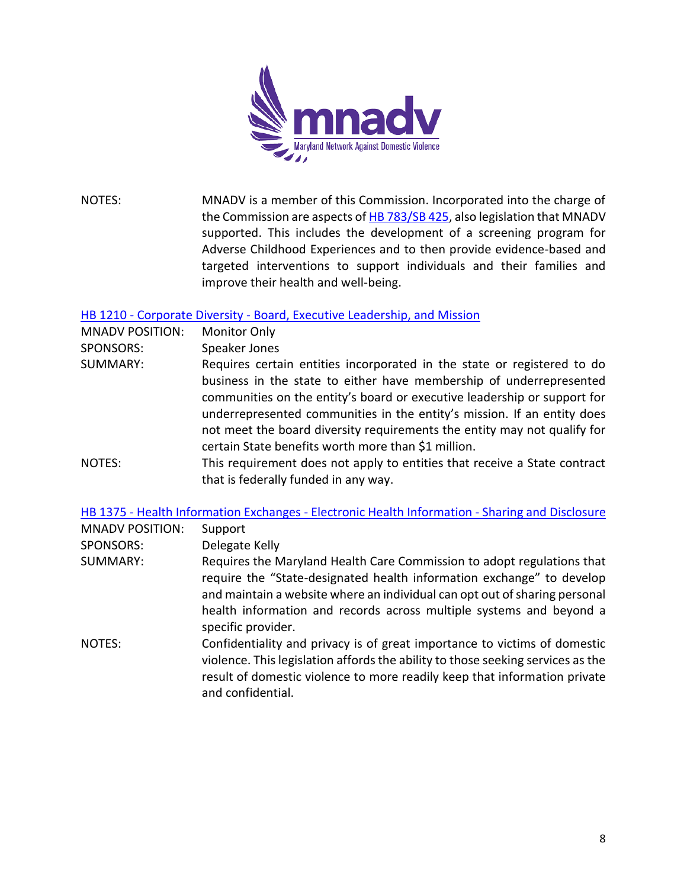

NOTES: MNADV is a member of this Commission. Incorporated into the charge of the Commission are aspects o[f HB 783/SB 425,](https://mgaleg.maryland.gov/mgawebsite/Legislation/Details/sb0425?ys=2021RS) also legislation that MNADV supported. This includes the development of a screening program for Adverse Childhood Experiences and to then provide evidence-based and targeted interventions to support individuals and their families and improve their health and well-being.

#### HB 1210 - Corporate Diversity - [Board, Executive Leadership, and Mission](https://mgaleg.maryland.gov/mgawebsite/Legislation/Details/hb1210)

| <b>MNADV POSITION:</b> | <b>Monitor Only</b>                                                       |
|------------------------|---------------------------------------------------------------------------|
| <b>SPONSORS:</b>       | Speaker Jones                                                             |
| SUMMARY:               | Requires certain entities incorporated in the state or registered to do   |
|                        | business in the state to either have membership of underrepresented       |
|                        | communities on the entity's board or executive leadership or support for  |
|                        | underrepresented communities in the entity's mission. If an entity does   |
|                        | not meet the board diversity requirements the entity may not qualify for  |
|                        | certain State benefits worth more than \$1 million.                       |
| NOTES:                 | This requirement does not apply to entities that receive a State contract |
|                        | that is federally funded in any way.                                      |

#### HB 1375 - [Health Information Exchanges -](https://mgaleg.maryland.gov/mgawebsite/Legislation/Details/hb1375) Electronic Health Information - Sharing and Disclosure

| <b>MNADV POSITION:</b> | Support                                                                                                                                                                                                                                                                                                                    |
|------------------------|----------------------------------------------------------------------------------------------------------------------------------------------------------------------------------------------------------------------------------------------------------------------------------------------------------------------------|
| <b>SPONSORS:</b>       | Delegate Kelly                                                                                                                                                                                                                                                                                                             |
| SUMMARY:               | Requires the Maryland Health Care Commission to adopt regulations that<br>require the "State-designated health information exchange" to develop<br>and maintain a website where an individual can opt out of sharing personal<br>health information and records across multiple systems and beyond a<br>specific provider. |
| NOTES:                 | Confidentiality and privacy is of great importance to victims of domestic<br>violence. This legislation affords the ability to those seeking services as the<br>result of domestic violence to more readily keep that information private<br>and confidential.                                                             |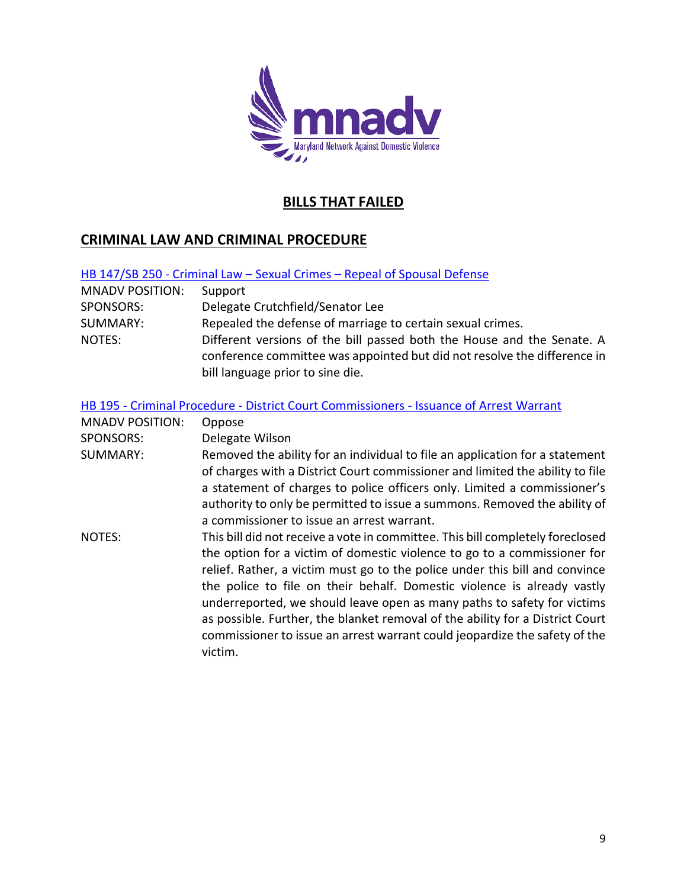

# **BILLS THAT FAILED**

# **CRIMINAL LAW AND CRIMINAL PROCEDURE**

| HB 147/SB 250 - Criminal Law - Sexual Crimes - Repeal of Spousal Defense |
|--------------------------------------------------------------------------|
|--------------------------------------------------------------------------|

| <b>MNADV POSITION:</b> | Support                                                                                                                                            |
|------------------------|----------------------------------------------------------------------------------------------------------------------------------------------------|
| <b>SPONSORS:</b>       | Delegate Crutchfield/Senator Lee                                                                                                                   |
| SUMMARY:               | Repealed the defense of marriage to certain sexual crimes.                                                                                         |
| NOTES:                 | Different versions of the bill passed both the House and the Senate. A<br>conference committee was appointed but did not resolve the difference in |
|                        |                                                                                                                                                    |
|                        | bill language prior to sine die.                                                                                                                   |

#### HB 195 - Criminal Procedure - [District Court Commissioners -](https://mgaleg.maryland.gov/mgawebsite/Legislation/Details/hb0195) Issuance of Arrest Warrant

| <b>MNADV POSITION:</b> | Oppose                                                                                                                                                                                                                                                                                                                                                                                                                                                                                                                                                                    |
|------------------------|---------------------------------------------------------------------------------------------------------------------------------------------------------------------------------------------------------------------------------------------------------------------------------------------------------------------------------------------------------------------------------------------------------------------------------------------------------------------------------------------------------------------------------------------------------------------------|
| <b>SPONSORS:</b>       | Delegate Wilson                                                                                                                                                                                                                                                                                                                                                                                                                                                                                                                                                           |
| SUMMARY:               | Removed the ability for an individual to file an application for a statement<br>of charges with a District Court commissioner and limited the ability to file<br>a statement of charges to police officers only. Limited a commissioner's<br>authority to only be permitted to issue a summons. Removed the ability of<br>a commissioner to issue an arrest warrant.                                                                                                                                                                                                      |
| NOTES:                 | This bill did not receive a vote in committee. This bill completely foreclosed<br>the option for a victim of domestic violence to go to a commissioner for<br>relief. Rather, a victim must go to the police under this bill and convince<br>the police to file on their behalf. Domestic violence is already vastly<br>underreported, we should leave open as many paths to safety for victims<br>as possible. Further, the blanket removal of the ability for a District Court<br>commissioner to issue an arrest warrant could jeopardize the safety of the<br>victim. |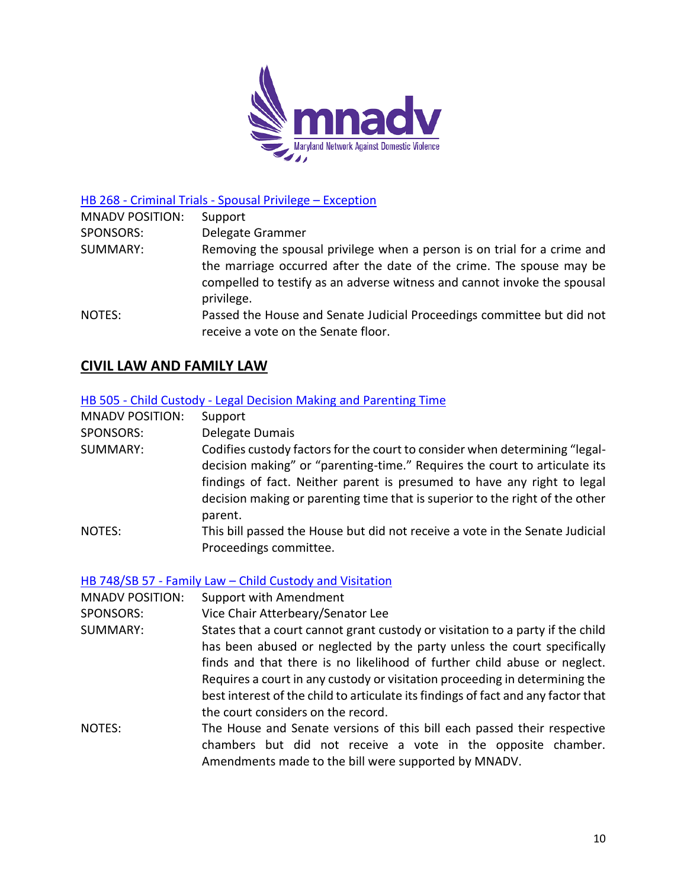

HB 268 - Criminal Trials - [Spousal Privilege](https://mgaleg.maryland.gov/mgawebsite/Legislation/Details/hb0268) – Exception

| <b>MNADV POSITION:</b> | Support                                                                                                                                                                                                                                    |
|------------------------|--------------------------------------------------------------------------------------------------------------------------------------------------------------------------------------------------------------------------------------------|
| SPONSORS:              | Delegate Grammer                                                                                                                                                                                                                           |
| SUMMARY:               | Removing the spousal privilege when a person is on trial for a crime and<br>the marriage occurred after the date of the crime. The spouse may be<br>compelled to testify as an adverse witness and cannot invoke the spousal<br>privilege. |
| NOTES:                 | Passed the House and Senate Judicial Proceedings committee but did not<br>receive a vote on the Senate floor.                                                                                                                              |

# **CIVIL LAW AND FAMILY LAW**

#### HB 505 - Child Custody - [Legal Decision Making and Parenting Time](https://mgaleg.maryland.gov/mgawebsite/Legislation/Details/hb0505)

| <b>MNADV POSITION:</b> | Support                                                                      |
|------------------------|------------------------------------------------------------------------------|
| SPONSORS:              | Delegate Dumais                                                              |
| SUMMARY:               | Codifies custody factors for the court to consider when determining "legal-  |
|                        | decision making" or "parenting-time." Requires the court to articulate its   |
|                        | findings of fact. Neither parent is presumed to have any right to legal      |
|                        | decision making or parenting time that is superior to the right of the other |
|                        | parent.                                                                      |
| NOTES:                 | This bill passed the House but did not receive a vote in the Senate Judicial |
|                        | Proceedings committee.                                                       |

HB 748/SB 57 - Family Law – [Child Custody and Visitation](https://mgaleg.maryland.gov/mgawebsite/Legislation/Details/hb0748)

MNADV POSITION: Support with Amendment

SPONSORS: Vice Chair Atterbeary/Senator Lee

- SUMMARY: States that a court cannot grant custody or visitation to a party if the child has been abused or neglected by the party unless the court specifically finds and that there is no likelihood of further child abuse or neglect. Requires a court in any custody or visitation proceeding in determining the best interest of the child to articulate its findings of fact and any factor that the court considers on the record.
- NOTES: The House and Senate versions of this bill each passed their respective chambers but did not receive a vote in the opposite chamber. Amendments made to the bill were supported by MNADV.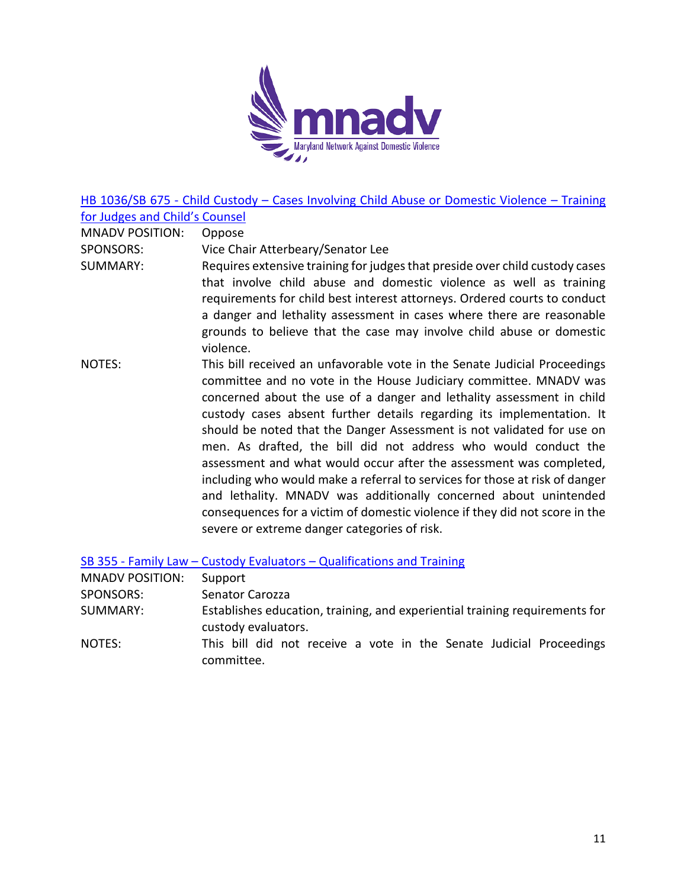

HB 1036/SB 675 - Child Custody – [Cases Involving Child Abuse or Domestic Violence](https://mgaleg.maryland.gov/mgawebsite/Legislation/Details/hb1036) – Training [for Judges and Child's Counsel](https://mgaleg.maryland.gov/mgawebsite/Legislation/Details/hb1036)

MNADV POSITION: Oppose

SPONSORS: Vice Chair Atterbeary/Senator Lee

- SUMMARY: Requires extensive training for judges that preside over child custody cases that involve child abuse and domestic violence as well as training requirements for child best interest attorneys. Ordered courts to conduct a danger and lethality assessment in cases where there are reasonable grounds to believe that the case may involve child abuse or domestic violence.
- NOTES: This bill received an unfavorable vote in the Senate Judicial Proceedings committee and no vote in the House Judiciary committee. MNADV was concerned about the use of a danger and lethality assessment in child custody cases absent further details regarding its implementation. It should be noted that the Danger Assessment is not validated for use on men. As drafted, the bill did not address who would conduct the assessment and what would occur after the assessment was completed, including who would make a referral to services for those at risk of danger and lethality. MNADV was additionally concerned about unintended consequences for a victim of domestic violence if they did not score in the severe or extreme danger categories of risk.

SB 355 - Family Law – Custody Evaluators – [Qualifications and Training](https://mgaleg.maryland.gov/mgawebsite/Legislation/Details/sb0355)

| <b>MNADV POSITION:</b> | Support                                                                                            |
|------------------------|----------------------------------------------------------------------------------------------------|
| SPONSORS:              | Senator Carozza                                                                                    |
| SUMMARY:               | Establishes education, training, and experiential training requirements for<br>custody evaluators. |
| NOTES:                 | This bill did not receive a vote in the Senate Judicial Proceedings<br>committee.                  |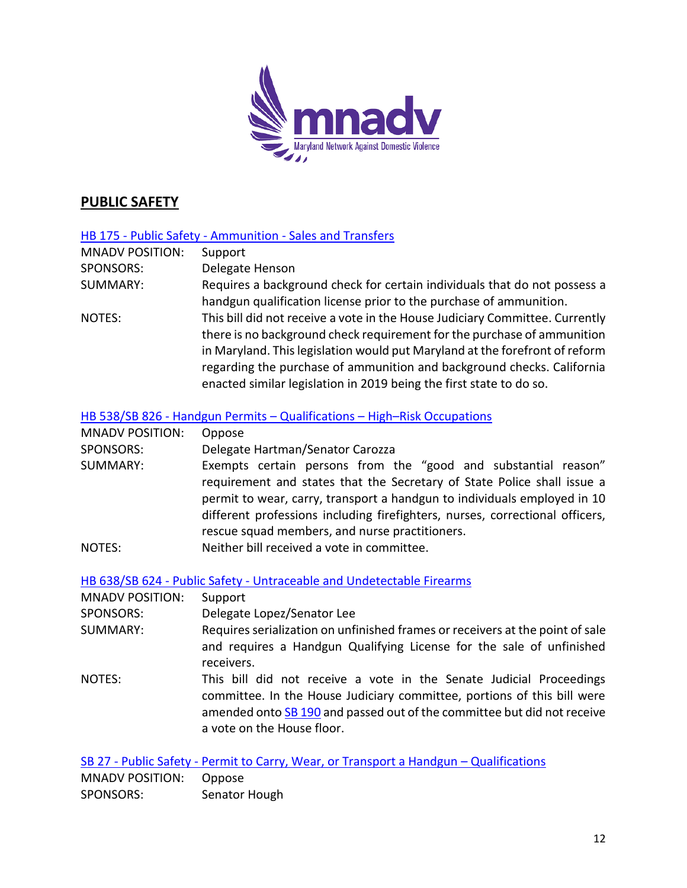

# **PUBLIC SAFETY**

#### HB 175 - Public Safety - Ammunition - [Sales and Transfers](https://mgaleg.maryland.gov/mgawebsite/Legislation/Details/hb0175)

| <b>MNADV POSITION:</b> | Support                                                                      |
|------------------------|------------------------------------------------------------------------------|
| <b>SPONSORS:</b>       | Delegate Henson                                                              |
| <b>SUMMARY:</b>        | Requires a background check for certain individuals that do not possess a    |
|                        | handgun qualification license prior to the purchase of ammunition.           |
| NOTES:                 | This bill did not receive a vote in the House Judiciary Committee. Currently |
|                        | there is no background check requirement for the purchase of ammunition      |
|                        | in Maryland. This legislation would put Maryland at the forefront of reform  |
|                        | regarding the purchase of ammunition and background checks. California       |
|                        | enacted similar legislation in 2019 being the first state to do so.          |

#### HB 538/SB 826 - [Handgun Permits](https://mgaleg.maryland.gov/mgawebsite/Legislation/Details/hb0538) – Qualifications – High–Risk Occupations

| <b>MNADV POSITION:</b> | Oppose                                                                                                                                                   |
|------------------------|----------------------------------------------------------------------------------------------------------------------------------------------------------|
| <b>SPONSORS:</b>       | Delegate Hartman/Senator Carozza                                                                                                                         |
| SUMMARY:               | Exempts certain persons from the "good and substantial reason"<br>requirement and states that the Secretary of State Police shall issue a                |
|                        | permit to wear, carry, transport a handgun to individuals employed in 10<br>different professions including firefighters, nurses, correctional officers, |
|                        | rescue squad members, and nurse practitioners.                                                                                                           |
| NOTES:                 | Neither bill received a vote in committee.                                                                                                               |

HB 638/SB 624 - Public Safety - [Untraceable and Undetectable Firearms](https://mgaleg.maryland.gov/mgawebsite/Legislation/Details/hb0638)

| <b>MNADV POSITION:</b> | Support                                                                                                                                                                                                                                                 |
|------------------------|---------------------------------------------------------------------------------------------------------------------------------------------------------------------------------------------------------------------------------------------------------|
| SPONSORS:              | Delegate Lopez/Senator Lee                                                                                                                                                                                                                              |
| SUMMARY:               | Requires serialization on unfinished frames or receivers at the point of sale                                                                                                                                                                           |
|                        | and requires a Handgun Qualifying License for the sale of unfinished<br>receivers.                                                                                                                                                                      |
| NOTES:                 | This bill did not receive a vote in the Senate Judicial Proceedings<br>committee. In the House Judiciary committee, portions of this bill were<br>amended onto SB 190 and passed out of the committee but did not receive<br>a vote on the House floor. |

SB 27 - Public Safety - [Permit to Carry, Wear, or Transport a Handgun](https://mgaleg.maryland.gov/mgawebsite/Legislation/Details/sb0027) – Qualifications MNADV POSITION: Oppose SPONSORS: Senator Hough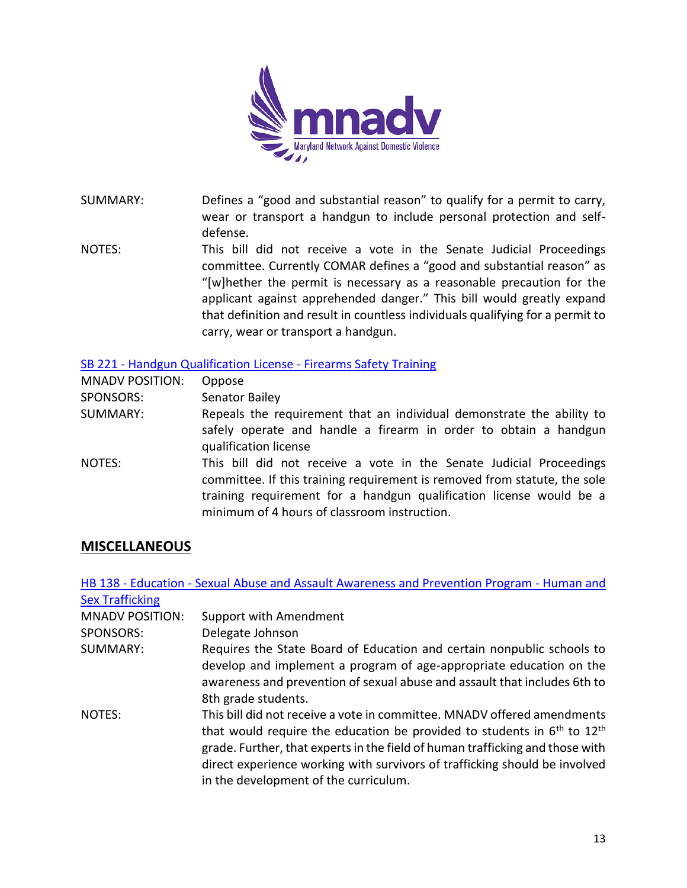

SUMMARY: Defines a "good and substantial reason" to qualify for a permit to carry, wear or transport a handgun to include personal protection and selfdefense.

NOTES: This bill did not receive a vote in the Senate Judicial Proceedings committee. Currently COMAR defines a "good and substantial reason" as "[w]hether the permit is necessary as a reasonable precaution for the applicant against apprehended danger." This bill would greatly expand that definition and result in countless individuals qualifying for a permit to carry, wear or transport a handgun.

#### SB 221 - [Handgun Qualification License -](https://mgaleg.maryland.gov/mgawebsite/Legislation/Details/sb0221) Firearms Safety Training

| <b>MNADV POSITION:</b> | Oppose                                                                                                                                                                                                                                                                  |
|------------------------|-------------------------------------------------------------------------------------------------------------------------------------------------------------------------------------------------------------------------------------------------------------------------|
| SPONSORS:              | Senator Bailey                                                                                                                                                                                                                                                          |
| SUMMARY:               | Repeals the requirement that an individual demonstrate the ability to<br>safely operate and handle a firearm in order to obtain a handgun<br>qualification license                                                                                                      |
| NOTES:                 | This bill did not receive a vote in the Senate Judicial Proceedings<br>committee. If this training requirement is removed from statute, the sole<br>training requirement for a handgun qualification license would be a<br>minimum of 4 hours of classroom instruction. |

## **MISCELLANEOUS**

|                        | HB 138 - Education - Sexual Abuse and Assault Awareness and Prevention Program - Human and                                                                                                                                                                                                                                                                     |
|------------------------|----------------------------------------------------------------------------------------------------------------------------------------------------------------------------------------------------------------------------------------------------------------------------------------------------------------------------------------------------------------|
| <b>Sex Trafficking</b> |                                                                                                                                                                                                                                                                                                                                                                |
| <b>MNADV POSITION:</b> | Support with Amendment                                                                                                                                                                                                                                                                                                                                         |
| SPONSORS:              | Delegate Johnson                                                                                                                                                                                                                                                                                                                                               |
| SUMMARY:               | Requires the State Board of Education and certain nonpublic schools to<br>develop and implement a program of age-appropriate education on the<br>awareness and prevention of sexual abuse and assault that includes 6th to<br>8th grade students.                                                                                                              |
| NOTES:                 | This bill did not receive a vote in committee. MNADV offered amendments<br>that would require the education be provided to students in $6th$ to $12th$<br>grade. Further, that experts in the field of human trafficking and those with<br>direct experience working with survivors of trafficking should be involved<br>in the development of the curriculum. |